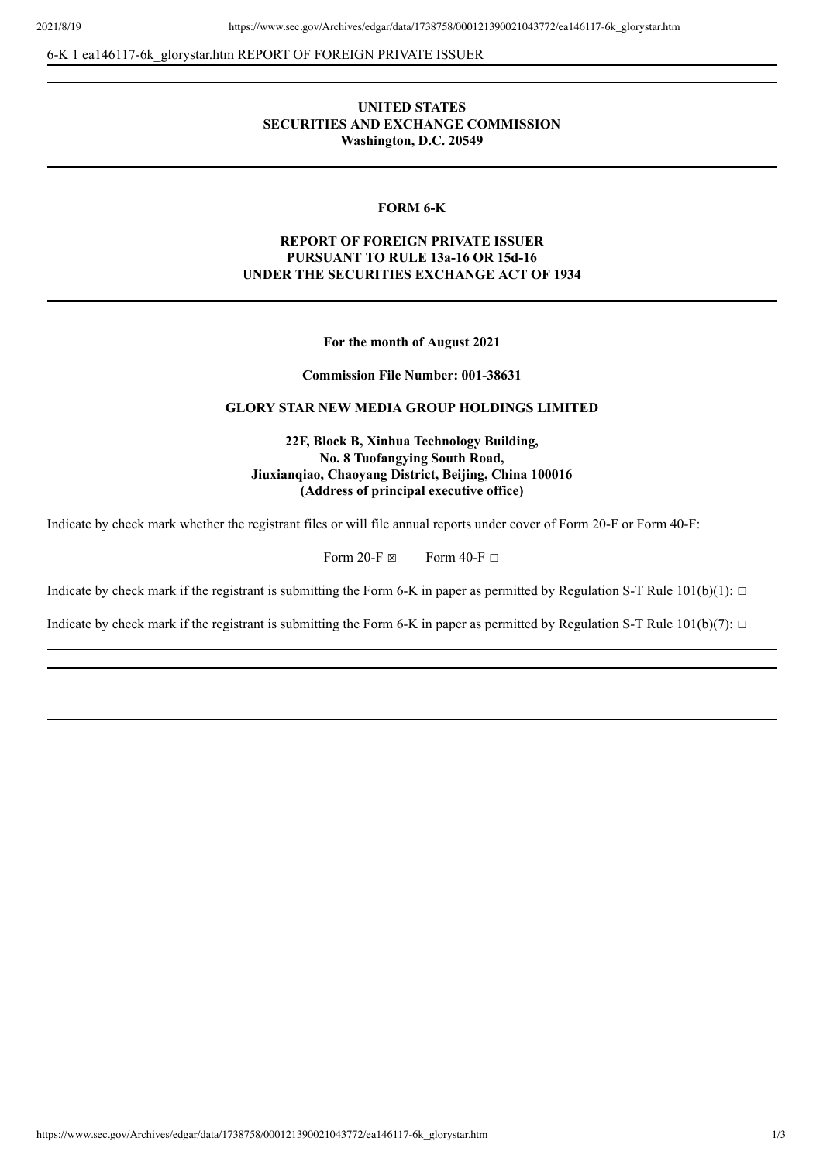6-K 1 ea146117-6k\_glorystar.htm REPORT OF FOREIGN PRIVATE ISSUER

## **UNITED STATES SECURITIES AND EXCHANGE COMMISSION Washington, D.C. 20549**

#### **FORM 6-K**

## **REPORT OF FOREIGN PRIVATE ISSUER PURSUANT TO RULE 13a-16 OR 15d-16 UNDER THE SECURITIES EXCHANGE ACT OF 1934**

**For the month of August 2021**

**Commission File Number: 001-38631**

### **GLORY STAR NEW MEDIA GROUP HOLDINGS LIMITED**

**22F, Block B, Xinhua Technology Building, No. 8 Tuofangying South Road, Jiuxianqiao, Chaoyang District, Beijing, China 100016 (Address of principal executive office)**

Indicate by check mark whether the registrant files or will file annual reports under cover of Form 20-F or Form 40-F:

Form 20-F  $\boxtimes$  Form 40-F  $\Box$ 

Indicate by check mark if the registrant is submitting the Form 6-K in paper as permitted by Regulation S-T Rule  $101(b)(1)$ :  $\Box$ 

Indicate by check mark if the registrant is submitting the Form 6-K in paper as permitted by Regulation S-T Rule  $101(b)(7)$ :  $\Box$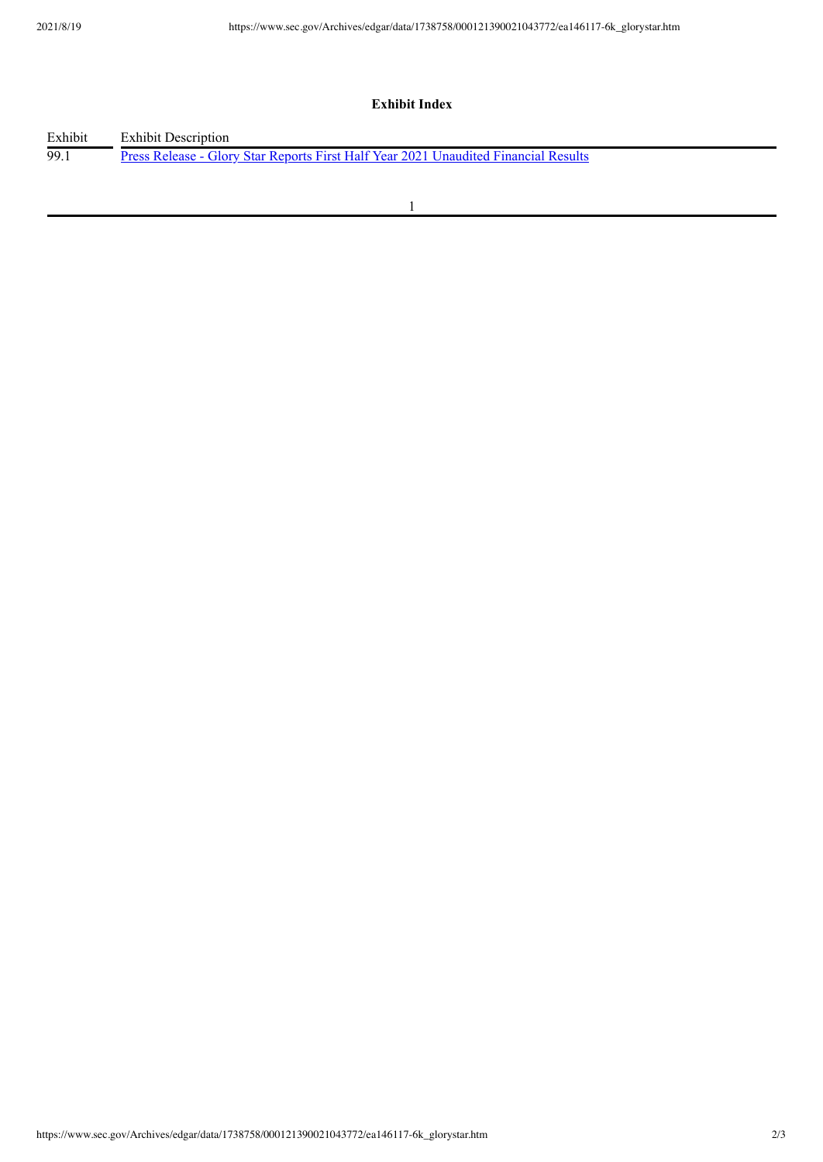# **Exhibit Index**

| Exhibit | <b>Exhibit Description</b>                                                                 |
|---------|--------------------------------------------------------------------------------------------|
| -99.1   | <u>Press Release - Glory Star Reports First Half Year 2021 Unaudited Financial Results</u> |